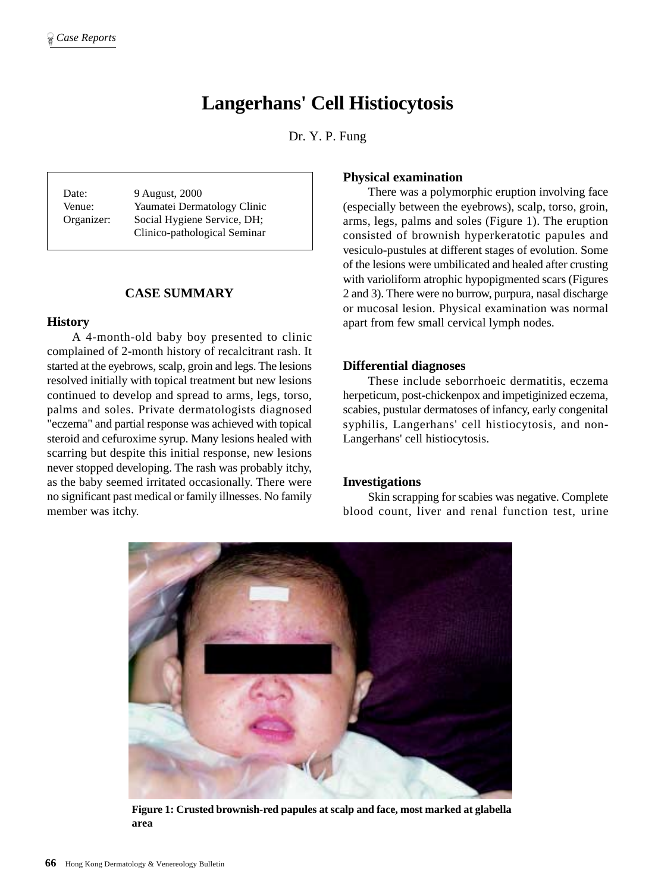# **Langerhans' Cell Histiocytosis**

Dr. Y. P. Fung

Date: 9 August, 2000 Venue: Yaumatei Dermatology Clinic Organizer: Social Hygiene Service, DH; Clinico-pathological Seminar

## **CASE SUMMARY**

## **History**

A 4-month-old baby boy presented to clinic complained of 2-month history of recalcitrant rash. It started at the eyebrows, scalp, groin and legs. The lesions resolved initially with topical treatment but new lesions continued to develop and spread to arms, legs, torso, palms and soles. Private dermatologists diagnosed "eczema" and partial response was achieved with topical steroid and cefuroxime syrup. Many lesions healed with scarring but despite this initial response, new lesions never stopped developing. The rash was probably itchy, as the baby seemed irritated occasionally. There were no significant past medical or family illnesses. No family member was itchy.

## **Physical examination**

There was a polymorphic eruption involving face (especially between the eyebrows), scalp, torso, groin, arms, legs, palms and soles (Figure 1). The eruption consisted of brownish hyperkeratotic papules and vesiculo-pustules at different stages of evolution. Some of the lesions were umbilicated and healed after crusting with varioliform atrophic hypopigmented scars (Figures 2 and 3). There were no burrow, purpura, nasal discharge or mucosal lesion. Physical examination was normal apart from few small cervical lymph nodes.

#### **Differential diagnoses**

These include seborrhoeic dermatitis, eczema herpeticum, post-chickenpox and impetiginized eczema, scabies, pustular dermatoses of infancy, early congenital syphilis, Langerhans' cell histiocytosis, and non-Langerhans' cell histiocytosis.

## **Investigations**

Skin scrapping for scabies was negative. Complete blood count, liver and renal function test, urine



**Figure 1: Crusted brownish-red papules at scalp and face, most marked at glabella area**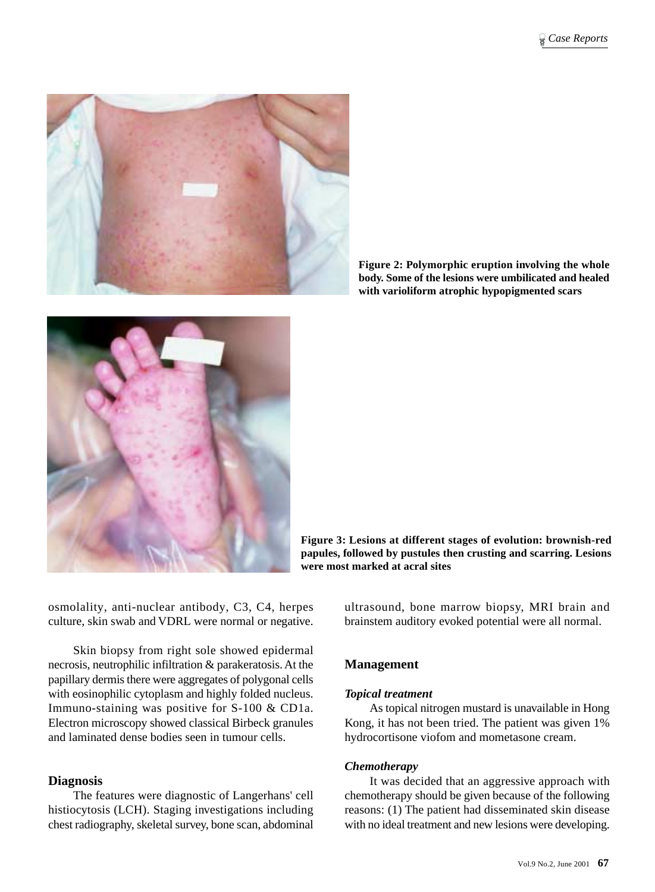

**Figure 2: Polymorphic eruption involving the whole body. Some of the lesions were umbilicated and healed with varioliform atrophic hypopigmented scars**



**Figure 3: Lesions at different stages of evolution: brownish-red papules, followed by pustules then crusting and scarring. Lesions were most marked at acral sites**

osmolality, anti-nuclear antibody, C3, C4, herpes culture, skin swab and VDRL were normal or negative.

Skin biopsy from right sole showed epidermal necrosis, neutrophilic infiltration & parakeratosis. At the papillary dermis there were aggregates of polygonal cells with eosinophilic cytoplasm and highly folded nucleus. Immuno-staining was positive for S-100 & CD1a. Electron microscopy showed classical Birbeck granules and laminated dense bodies seen in tumour cells.

# **Diagnosis**

The features were diagnostic of Langerhans' cell histiocytosis (LCH). Staging investigations including chest radiography, skeletal survey, bone scan, abdominal

ultrasound, bone marrow biopsy, MRI brain and brainstem auditory evoked potential were all normal.

# **Management**

## *Topical treatment*

As topical nitrogen mustard is unavailable in Hong Kong, it has not been tried. The patient was given 1% hydrocortisone viofom and mometasone cream.

#### *Chemotherapy*

It was decided that an aggressive approach with chemotherapy should be given because of the following reasons: (1) The patient had disseminated skin disease with no ideal treatment and new lesions were developing.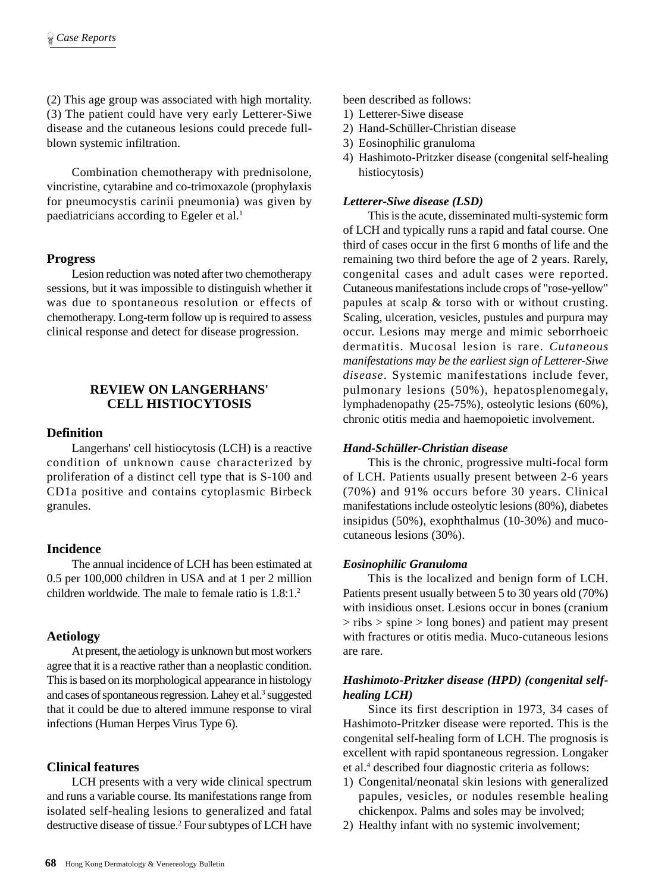(2) This age group was associated with high mortality. (3) The patient could have very early Letterer-Siwe disease and the cutaneous lesions could precede fullblown systemic infiltration.

Combination chemotherapy with prednisolone, vincristine, cytarabine and co-trimoxazole (prophylaxis for pneumocystis carinii pneumonia) was given by paediatricians according to Egeler et al.<sup>1</sup>

#### **Progress**

Lesion reduction was noted after two chemotherapy sessions, but it was impossible to distinguish whether it was due to spontaneous resolution or effects of chemotherapy. Long-term follow up is required to assess clinical response and detect for disease progression.

## **REVIEW ON LANGERHANS' CELL HISTIOCYTOSIS**

## **Definition**

Langerhans' cell histiocytosis (LCH) is a reactive condition of unknown cause characterized by proliferation of a distinct cell type that is S-100 and CD1a positive and contains cytoplasmic Birbeck granules.

## **Incidence**

The annual incidence of LCH has been estimated at 0.5 per 100,000 children in USA and at 1 per 2 million children worldwide. The male to female ratio is  $1.8 \cdot 1.2$ 

#### **Aetiology**

At present, the aetiology is unknown but most workers agree that it is a reactive rather than a neoplastic condition. This is based on its morphological appearance in histology and cases of spontaneous regression. Lahey et al.<sup>3</sup> suggested that it could be due to altered immune response to viral infections (Human Herpes Virus Type 6).

## **Clinical features**

LCH presents with a very wide clinical spectrum and runs a variable course. Its manifestations range from isolated self-healing lesions to generalized and fatal destructive disease of tissue.<sup>2</sup> Four subtypes of LCH have

been described as follows:

- 1) Letterer-Siwe disease
- 2) Hand-Schüller-Christian disease
- 3) Eosinophilic granuloma
- 4) Hashimoto-Pritzker disease (congenital self-healing histiocytosis)

## *Letterer-Siwe disease (LSD)*

This is the acute, disseminated multi-systemic form of LCH and typically runs a rapid and fatal course. One third of cases occur in the first 6 months of life and the remaining two third before the age of 2 years. Rarely, congenital cases and adult cases were reported. Cutaneous manifestations include crops of "rose-yellow" papules at scalp & torso with or without crusting. Scaling, ulceration, vesicles, pustules and purpura may occur. Lesions may merge and mimic seborrhoeic dermatitis. Mucosal lesion is rare. *Cutaneous manifestations may be the earliest sign of Letterer-Siwe disease*. Systemic manifestations include fever, pulmonary lesions (50%), hepatosplenomegaly, lymphadenopathy (25-75%), osteolytic lesions (60%), chronic otitis media and haemopoietic involvement.

## *Hand-Schüller-Christian disease*

This is the chronic, progressive multi-focal form of LCH. Patients usually present between 2-6 years (70%) and 91% occurs before 30 years. Clinical manifestations include osteolytic lesions (80%), diabetes insipidus (50%), exophthalmus (10-30%) and mucocutaneous lesions (30%).

#### *Eosinophilic Granuloma*

This is the localized and benign form of LCH. Patients present usually between 5 to 30 years old (70%) with insidious onset. Lesions occur in bones (cranium  $>$  ribs  $>$  spine  $>$  long bones) and patient may present with fractures or otitis media. Muco-cutaneous lesions are rare.

## *Hashimoto-Pritzker disease (HPD) (congenital selfhealing LCH)*

Since its first description in 1973, 34 cases of Hashimoto-Pritzker disease were reported. This is the congenital self-healing form of LCH. The prognosis is excellent with rapid spontaneous regression. Longaker et al.<sup>4</sup> described four diagnostic criteria as follows:

- 1) Congenital/neonatal skin lesions with generalized papules, vesicles, or nodules resemble healing chickenpox. Palms and soles may be involved;
- 2) Healthy infant with no systemic involvement;